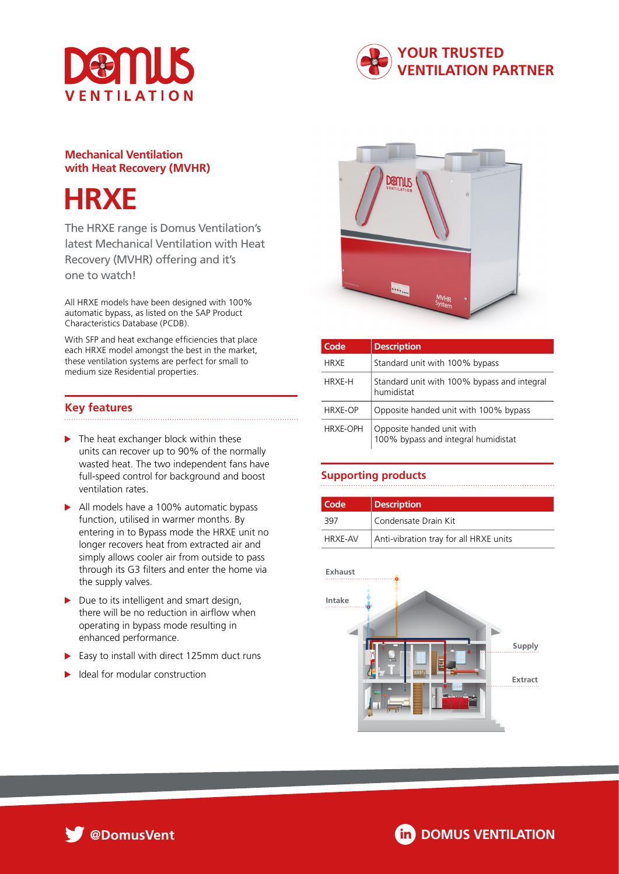



# **Mechanical Ventilation with Heat Recovery (MVHR)**



The HRXE range is Domus Ventilation's latest Mechanical Ventilation with Heat Recovery (MVHR) offering and it's one to watch!

All HRXE models have been designed with 100% automatic bypass, as listed on the SAP Product Characteristics Database (PCDB).

With SFP and heat exchange efficiencies that place each HRXE model amongst the best in the market, these ventilation systems are perfect for small to medium size Residential properties.

# **Key features**

- $\blacktriangleright$  The heat exchanger block within these units can recover up to 90% of the normally wasted heat. The two independent fans have full-speed control for background and boost ventilation rates.
- All models have a 100% automatic bypass function, utilised in warmer months. By entering in to Bypass mode the HRXE unit no longer recovers heat from extracted air and simply allows cooler air from outside to pass through its G3 filters and enter the home via the supply valves.
- $\blacktriangleright$  Due to its intelligent and smart design, there will be no reduction in airflow when operating in bypass mode resulting in enhanced performance.
- $\blacktriangleright$  Easy to install with direct 125mm duct runs
- Ideal for modular construction



| Code            | <b>Description</b>                                               |  |  |
|-----------------|------------------------------------------------------------------|--|--|
| <b>HRXE</b>     | Standard unit with 100% bypass                                   |  |  |
| <b>HRXE-H</b>   | Standard unit with 100% bypass and integral<br>humidistat        |  |  |
| HRXE-OP         | Opposite handed unit with 100% bypass                            |  |  |
| <b>HRXE-OPH</b> | Opposite handed unit with<br>100% bypass and integral humidistat |  |  |

# **Supporting products**

| Code           | <b>Description</b>                     |
|----------------|----------------------------------------|
| 397            | Condensate Drain Kit                   |
| <b>HRXE-AV</b> | Anti-vibration tray for all HRXE units |